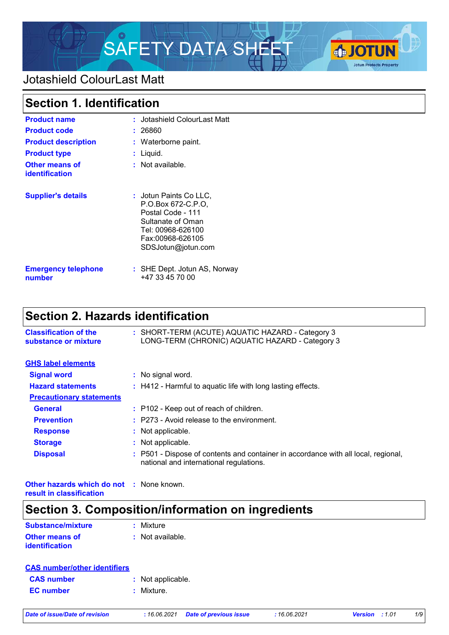

### Jotashield ColourLast Matt

| <b>Section 1. Identification</b>        |                                                                                                                                                       |  |
|-----------------------------------------|-------------------------------------------------------------------------------------------------------------------------------------------------------|--|
| <b>Product name</b>                     | : Jotashield ColourLast Matt                                                                                                                          |  |
| <b>Product code</b>                     | : 26860                                                                                                                                               |  |
| <b>Product description</b>              | : Waterborne paint.                                                                                                                                   |  |
| <b>Product type</b>                     | $:$ Liquid.                                                                                                                                           |  |
| Other means of<br><b>identification</b> | $:$ Not available.                                                                                                                                    |  |
| <b>Supplier's details</b>               | : Jotun Paints Co LLC,<br>P.O.Box 672-C.P.O.<br>Postal Code - 111<br>Sultanate of Oman<br>Tel: 00968-626100<br>Fax:00968-626105<br>SDSJotun@jotun.com |  |
| <b>Emergency telephone</b><br>number    | : SHE Dept. Jotun AS, Norway<br>+47 33 45 70 00                                                                                                       |  |

### **Section 2. Hazards identification**

| <b>Classification of the</b><br>substance or mixture |                   | : SHORT-TERM (ACUTE) AQUATIC HAZARD - Category 3<br>LONG-TERM (CHRONIC) AQUATIC HAZARD - Category 3                           |
|------------------------------------------------------|-------------------|-------------------------------------------------------------------------------------------------------------------------------|
| <b>GHS label elements</b>                            |                   |                                                                                                                               |
| <b>Signal word</b>                                   | : No signal word. |                                                                                                                               |
| <b>Hazard statements</b>                             |                   | : H412 - Harmful to aquatic life with long lasting effects.                                                                   |
| <b>Precautionary statements</b>                      |                   |                                                                                                                               |
| <b>General</b>                                       |                   | : P102 - Keep out of reach of children.                                                                                       |
| <b>Prevention</b>                                    |                   | : P273 - Avoid release to the environment.                                                                                    |
| <b>Response</b>                                      | : Not applicable. |                                                                                                                               |
| <b>Storage</b>                                       | : Not applicable. |                                                                                                                               |
| <b>Disposal</b>                                      |                   | : P501 - Dispose of contents and container in accordance with all local, regional,<br>national and international regulations. |

**Other hazards which do not :** None known. **result in classification**

### **Section 3. Composition/information on ingredients**

| <b>Substance/mixture</b> | : Mixture        |
|--------------------------|------------------|
| <b>Other means of</b>    | : Not available. |
| identification           |                  |

| <b>CAS number/other identifiers</b> |                   |
|-------------------------------------|-------------------|
| <b>CAS</b> number                   | : Not applicable. |
| <b>EC</b> number                    | : Mixture.        |
|                                     |                   |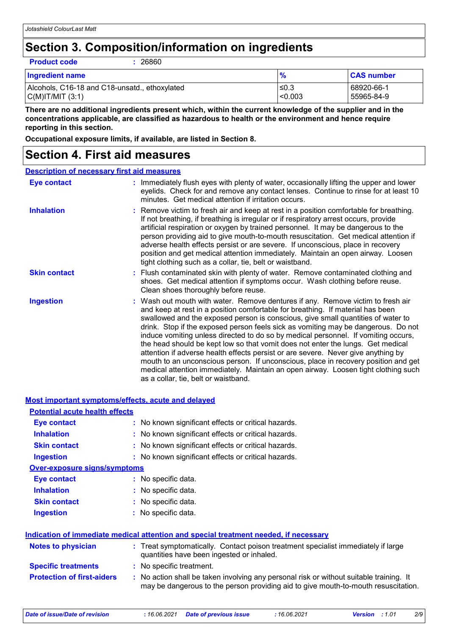### **Section 3. Composition/information on ingredients**

**Product code :** 26860

| <b>Ingredient name</b>                        | %       | <b>CAS number</b> |
|-----------------------------------------------|---------|-------------------|
| Alcohols, C16-18 and C18-unsatd., ethoxylated | ≤0.3    | 68920-66-1        |
| C(M) T/MIT (3:1)                              | < 0.003 | 55965-84-9        |

**There are no additional ingredients present which, within the current knowledge of the supplier and in the concentrations applicable, are classified as hazardous to health or the environment and hence require reporting in this section.**

**Occupational exposure limits, if available, are listed in Section 8.**

### **Section 4. First aid measures**

| <b>Description of necessary first aid measures</b> |                                                                                                                                                                                                                                                                                                                                                                                                                                                                                                                                                                                                                                                                                                                                                                                                                              |
|----------------------------------------------------|------------------------------------------------------------------------------------------------------------------------------------------------------------------------------------------------------------------------------------------------------------------------------------------------------------------------------------------------------------------------------------------------------------------------------------------------------------------------------------------------------------------------------------------------------------------------------------------------------------------------------------------------------------------------------------------------------------------------------------------------------------------------------------------------------------------------------|
| <b>Eye contact</b>                                 | : Immediately flush eyes with plenty of water, occasionally lifting the upper and lower<br>eyelids. Check for and remove any contact lenses. Continue to rinse for at least 10<br>minutes. Get medical attention if irritation occurs.                                                                                                                                                                                                                                                                                                                                                                                                                                                                                                                                                                                       |
| <b>Inhalation</b>                                  | : Remove victim to fresh air and keep at rest in a position comfortable for breathing.<br>If not breathing, if breathing is irregular or if respiratory arrest occurs, provide<br>artificial respiration or oxygen by trained personnel. It may be dangerous to the<br>person providing aid to give mouth-to-mouth resuscitation. Get medical attention if<br>adverse health effects persist or are severe. If unconscious, place in recovery<br>position and get medical attention immediately. Maintain an open airway. Loosen<br>tight clothing such as a collar, tie, belt or waistband.                                                                                                                                                                                                                                 |
| <b>Skin contact</b>                                | : Flush contaminated skin with plenty of water. Remove contaminated clothing and<br>shoes. Get medical attention if symptoms occur. Wash clothing before reuse.<br>Clean shoes thoroughly before reuse.                                                                                                                                                                                                                                                                                                                                                                                                                                                                                                                                                                                                                      |
| <b>Ingestion</b>                                   | : Wash out mouth with water. Remove dentures if any. Remove victim to fresh air<br>and keep at rest in a position comfortable for breathing. If material has been<br>swallowed and the exposed person is conscious, give small quantities of water to<br>drink. Stop if the exposed person feels sick as vomiting may be dangerous. Do not<br>induce vomiting unless directed to do so by medical personnel. If vomiting occurs,<br>the head should be kept low so that vomit does not enter the lungs. Get medical<br>attention if adverse health effects persist or are severe. Never give anything by<br>mouth to an unconscious person. If unconscious, place in recovery position and get<br>medical attention immediately. Maintain an open airway. Loosen tight clothing such<br>as a collar, tie, belt or waistband. |

| <b>Most important symptoms/effects, acute and delayed</b> |                                                                                                                                                                               |
|-----------------------------------------------------------|-------------------------------------------------------------------------------------------------------------------------------------------------------------------------------|
| <b>Potential acute health effects</b>                     |                                                                                                                                                                               |
| <b>Eye contact</b>                                        | : No known significant effects or critical hazards.                                                                                                                           |
| <b>Inhalation</b>                                         | : No known significant effects or critical hazards.                                                                                                                           |
| <b>Skin contact</b>                                       | : No known significant effects or critical hazards.                                                                                                                           |
| <b>Ingestion</b>                                          | : No known significant effects or critical hazards.                                                                                                                           |
| <b>Over-exposure signs/symptoms</b>                       |                                                                                                                                                                               |
| <b>Eye contact</b>                                        | : No specific data.                                                                                                                                                           |
| <b>Inhalation</b>                                         | : No specific data.                                                                                                                                                           |
| <b>Skin contact</b>                                       | : No specific data.                                                                                                                                                           |
| <b>Ingestion</b>                                          | : No specific data.                                                                                                                                                           |
|                                                           | Indication of immediate medical attention and special treatment needed, if necessary                                                                                          |
| <b>Notes to physician</b>                                 | : Treat symptomatically. Contact poison treatment specialist immediately if large<br>quantities have been ingested or inhaled.                                                |
| <b>Specific treatments</b>                                | : No specific treatment.                                                                                                                                                      |
| <b>Protection of first-aiders</b>                         | : No action shall be taken involving any personal risk or without suitable training. It<br>may be dangerous to the person providing aid to give mouth-to-mouth resuscitation. |
|                                                           |                                                                                                                                                                               |

*Date of issue/Date of revision* **:** *16.06.2021 Date of previous issue : 16.06.2021 Version : 1.01 2/9*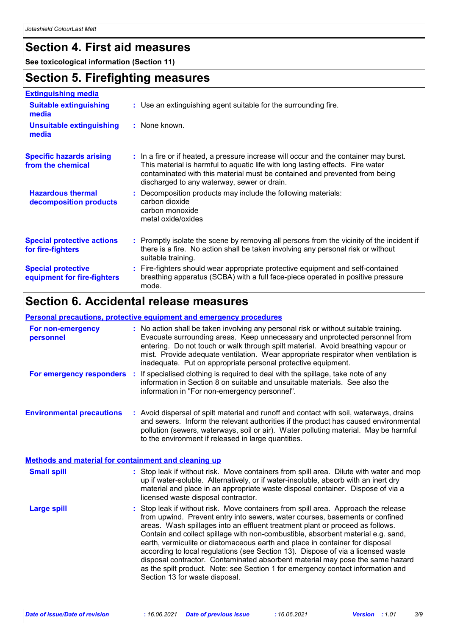### **Section 4. First aid measures**

**See toxicological information (Section 11)**

### **Section 5. Firefighting measures**

| <b>Extinguishing media</b>                               |                                                                                                                                                                                                                                                                                                      |
|----------------------------------------------------------|------------------------------------------------------------------------------------------------------------------------------------------------------------------------------------------------------------------------------------------------------------------------------------------------------|
| <b>Suitable extinguishing</b><br>media                   | : Use an extinguishing agent suitable for the surrounding fire.                                                                                                                                                                                                                                      |
| <b>Unsuitable extinguishing</b><br>media                 | : None known.                                                                                                                                                                                                                                                                                        |
| <b>Specific hazards arising</b><br>from the chemical     | : In a fire or if heated, a pressure increase will occur and the container may burst.<br>This material is harmful to aquatic life with long lasting effects. Fire water<br>contaminated with this material must be contained and prevented from being<br>discharged to any waterway, sewer or drain. |
| <b>Hazardous thermal</b><br>decomposition products       | : Decomposition products may include the following materials:<br>carbon dioxide<br>carbon monoxide<br>metal oxide/oxides                                                                                                                                                                             |
| <b>Special protective actions</b><br>for fire-fighters   | : Promptly isolate the scene by removing all persons from the vicinity of the incident if<br>there is a fire. No action shall be taken involving any personal risk or without<br>suitable training.                                                                                                  |
| <b>Special protective</b><br>equipment for fire-fighters | : Fire-fighters should wear appropriate protective equipment and self-contained<br>breathing apparatus (SCBA) with a full face-piece operated in positive pressure<br>mode.                                                                                                                          |

### **Section 6. Accidental release measures**

#### **Personal precautions, protective equipment and emergency procedures**

| For non-emergency<br>personnel                              | : No action shall be taken involving any personal risk or without suitable training.<br>Evacuate surrounding areas. Keep unnecessary and unprotected personnel from<br>entering. Do not touch or walk through spilt material. Avoid breathing vapour or<br>mist. Provide adequate ventilation. Wear appropriate respirator when ventilation is<br>inadequate. Put on appropriate personal protective equipment.                                                                                                                                                                                                                                                                                                   |
|-------------------------------------------------------------|-------------------------------------------------------------------------------------------------------------------------------------------------------------------------------------------------------------------------------------------------------------------------------------------------------------------------------------------------------------------------------------------------------------------------------------------------------------------------------------------------------------------------------------------------------------------------------------------------------------------------------------------------------------------------------------------------------------------|
| For emergency responders                                    | If specialised clothing is required to deal with the spillage, take note of any<br>information in Section 8 on suitable and unsuitable materials. See also the<br>information in "For non-emergency personnel".                                                                                                                                                                                                                                                                                                                                                                                                                                                                                                   |
| <b>Environmental precautions</b>                            | : Avoid dispersal of spilt material and runoff and contact with soil, waterways, drains<br>and sewers. Inform the relevant authorities if the product has caused environmental<br>pollution (sewers, waterways, soil or air). Water polluting material. May be harmful<br>to the environment if released in large quantities.                                                                                                                                                                                                                                                                                                                                                                                     |
| <b>Methods and material for containment and cleaning up</b> |                                                                                                                                                                                                                                                                                                                                                                                                                                                                                                                                                                                                                                                                                                                   |
| <b>Small spill</b>                                          | : Stop leak if without risk. Move containers from spill area. Dilute with water and mop<br>up if water-soluble. Alternatively, or if water-insoluble, absorb with an inert dry<br>material and place in an appropriate waste disposal container. Dispose of via a<br>licensed waste disposal contractor.                                                                                                                                                                                                                                                                                                                                                                                                          |
| <b>Large spill</b>                                          | : Stop leak if without risk. Move containers from spill area. Approach the release<br>from upwind. Prevent entry into sewers, water courses, basements or confined<br>areas. Wash spillages into an effluent treatment plant or proceed as follows.<br>Contain and collect spillage with non-combustible, absorbent material e.g. sand,<br>earth, vermiculite or diatomaceous earth and place in container for disposal<br>according to local regulations (see Section 13). Dispose of via a licensed waste<br>disposal contractor. Contaminated absorbent material may pose the same hazard<br>as the spilt product. Note: see Section 1 for emergency contact information and<br>Section 13 for waste disposal. |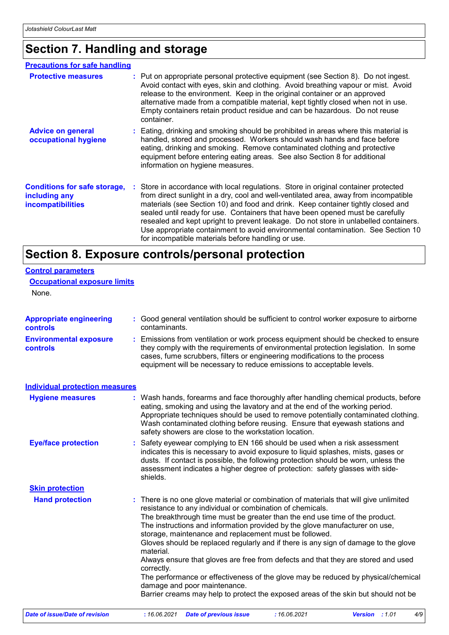# **Section 7. Handling and storage**

| <b>Precautions for safe handling</b>                                      |                                                                                                                                                                                                                                                                                                                                                                                                                                                                                                                                                                                   |
|---------------------------------------------------------------------------|-----------------------------------------------------------------------------------------------------------------------------------------------------------------------------------------------------------------------------------------------------------------------------------------------------------------------------------------------------------------------------------------------------------------------------------------------------------------------------------------------------------------------------------------------------------------------------------|
| <b>Protective measures</b>                                                | : Put on appropriate personal protective equipment (see Section 8). Do not ingest.<br>Avoid contact with eyes, skin and clothing. Avoid breathing vapour or mist. Avoid<br>release to the environment. Keep in the original container or an approved<br>alternative made from a compatible material, kept tightly closed when not in use.<br>Empty containers retain product residue and can be hazardous. Do not reuse<br>container.                                                                                                                                             |
| <b>Advice on general</b><br>occupational hygiene                          | : Eating, drinking and smoking should be prohibited in areas where this material is<br>handled, stored and processed. Workers should wash hands and face before<br>eating, drinking and smoking. Remove contaminated clothing and protective<br>equipment before entering eating areas. See also Section 8 for additional<br>information on hygiene measures.                                                                                                                                                                                                                     |
| <b>Conditions for safe storage,</b><br>including any<br>incompatibilities | Store in accordance with local regulations. Store in original container protected<br>from direct sunlight in a dry, cool and well-ventilated area, away from incompatible<br>materials (see Section 10) and food and drink. Keep container tightly closed and<br>sealed until ready for use. Containers that have been opened must be carefully<br>resealed and kept upright to prevent leakage. Do not store in unlabelled containers.<br>Use appropriate containment to avoid environmental contamination. See Section 10<br>for incompatible materials before handling or use. |

## **Section 8. Exposure controls/personal protection**

| <b>Control parameters</b>                  |                                                                                                                                                                                                                                                                                                                                                                                                                                                                                                                                                                                                                                                                                                                                                                                              |
|--------------------------------------------|----------------------------------------------------------------------------------------------------------------------------------------------------------------------------------------------------------------------------------------------------------------------------------------------------------------------------------------------------------------------------------------------------------------------------------------------------------------------------------------------------------------------------------------------------------------------------------------------------------------------------------------------------------------------------------------------------------------------------------------------------------------------------------------------|
| <b>Occupational exposure limits</b>        |                                                                                                                                                                                                                                                                                                                                                                                                                                                                                                                                                                                                                                                                                                                                                                                              |
| None.                                      |                                                                                                                                                                                                                                                                                                                                                                                                                                                                                                                                                                                                                                                                                                                                                                                              |
| <b>Appropriate engineering</b><br>controls | : Good general ventilation should be sufficient to control worker exposure to airborne<br>contaminants.                                                                                                                                                                                                                                                                                                                                                                                                                                                                                                                                                                                                                                                                                      |
| <b>Environmental exposure</b><br>controls  | : Emissions from ventilation or work process equipment should be checked to ensure<br>they comply with the requirements of environmental protection legislation. In some<br>cases, fume scrubbers, filters or engineering modifications to the process<br>equipment will be necessary to reduce emissions to acceptable levels.                                                                                                                                                                                                                                                                                                                                                                                                                                                              |
| <b>Individual protection measures</b>      |                                                                                                                                                                                                                                                                                                                                                                                                                                                                                                                                                                                                                                                                                                                                                                                              |
| <b>Hygiene measures</b>                    | : Wash hands, forearms and face thoroughly after handling chemical products, before<br>eating, smoking and using the lavatory and at the end of the working period.<br>Appropriate techniques should be used to remove potentially contaminated clothing.<br>Wash contaminated clothing before reusing. Ensure that eyewash stations and<br>safety showers are close to the workstation location.                                                                                                                                                                                                                                                                                                                                                                                            |
| <b>Eye/face protection</b>                 | : Safety eyewear complying to EN 166 should be used when a risk assessment<br>indicates this is necessary to avoid exposure to liquid splashes, mists, gases or<br>dusts. If contact is possible, the following protection should be worn, unless the<br>assessment indicates a higher degree of protection: safety glasses with side-<br>shields.                                                                                                                                                                                                                                                                                                                                                                                                                                           |
| <b>Skin protection</b>                     |                                                                                                                                                                                                                                                                                                                                                                                                                                                                                                                                                                                                                                                                                                                                                                                              |
| <b>Hand protection</b>                     | : There is no one glove material or combination of materials that will give unlimited<br>resistance to any individual or combination of chemicals.<br>The breakthrough time must be greater than the end use time of the product.<br>The instructions and information provided by the glove manufacturer on use,<br>storage, maintenance and replacement must be followed.<br>Gloves should be replaced regularly and if there is any sign of damage to the glove<br>material.<br>Always ensure that gloves are free from defects and that they are stored and used<br>correctly.<br>The performance or effectiveness of the glove may be reduced by physical/chemical<br>damage and poor maintenance.<br>Barrier creams may help to protect the exposed areas of the skin but should not be |

| Date of issue/Date of revision | : 16.06.2021 Date of previous issue | 16.06.2021 | <b>Version</b> : 1.01 | 4/9 |
|--------------------------------|-------------------------------------|------------|-----------------------|-----|
|                                |                                     |            |                       |     |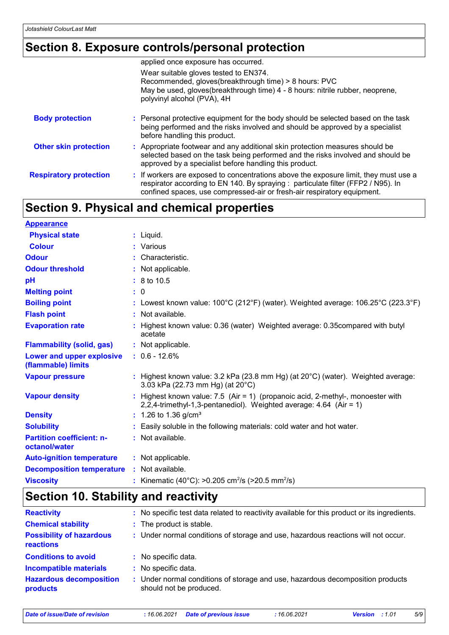### **Section 8. Exposure controls/personal protection**

|                               | applied once exposure has occurred.                                                                                                                                                                                                                  |
|-------------------------------|------------------------------------------------------------------------------------------------------------------------------------------------------------------------------------------------------------------------------------------------------|
|                               | Wear suitable gloves tested to EN374.<br>Recommended, gloves(breakthrough time) > 8 hours: PVC<br>May be used, gloves(breakthrough time) 4 - 8 hours: nitrile rubber, neoprene,<br>polyvinyl alcohol (PVA), 4H                                       |
| <b>Body protection</b>        | : Personal protective equipment for the body should be selected based on the task<br>being performed and the risks involved and should be approved by a specialist<br>before handling this product.                                                  |
| <b>Other skin protection</b>  | : Appropriate footwear and any additional skin protection measures should be<br>selected based on the task being performed and the risks involved and should be<br>approved by a specialist before handling this product.                            |
| <b>Respiratory protection</b> | : If workers are exposed to concentrations above the exposure limit, they must use a<br>respirator according to EN 140. By spraying : particulate filter (FFP2 / N95). In<br>confined spaces, use compressed-air or fresh-air respiratory equipment. |

### **Section 9. Physical and chemical properties**

| <b>Appearance</b>                                 |                                                                                                                                                       |
|---------------------------------------------------|-------------------------------------------------------------------------------------------------------------------------------------------------------|
| <b>Physical state</b>                             | $:$ Liquid.                                                                                                                                           |
| <b>Colour</b>                                     | : Various                                                                                                                                             |
| <b>Odour</b>                                      | : Characteristic.                                                                                                                                     |
| <b>Odour threshold</b>                            | : Not applicable.                                                                                                                                     |
| pH                                                | $: 8 \text{ to } 10.5$                                                                                                                                |
| <b>Melting point</b>                              | : 0                                                                                                                                                   |
| <b>Boiling point</b>                              | : Lowest known value: $100^{\circ}$ C (212°F) (water). Weighted average: $106.25^{\circ}$ C (223.3°F)                                                 |
| <b>Flash point</b>                                | : Not available.                                                                                                                                      |
| <b>Evaporation rate</b>                           | : Highest known value: 0.36 (water) Weighted average: 0.35compared with butyl<br>acetate                                                              |
| <b>Flammability (solid, gas)</b>                  | : Not applicable.                                                                                                                                     |
| Lower and upper explosive<br>(flammable) limits   | $: 0.6 - 12.6%$                                                                                                                                       |
| <b>Vapour pressure</b>                            | : Highest known value: $3.2$ kPa (23.8 mm Hg) (at $20^{\circ}$ C) (water). Weighted average:<br>3.03 kPa (22.73 mm Hg) (at 20°C)                      |
| <b>Vapour density</b>                             | : Highest known value: 7.5 (Air = 1) (propanoic acid, 2-methyl-, monoester with<br>2,2,4-trimethyl-1,3-pentanediol). Weighted average: 4.64 (Air = 1) |
| <b>Density</b>                                    | $: 1.26$ to 1.36 g/cm <sup>3</sup>                                                                                                                    |
| <b>Solubility</b>                                 | : Easily soluble in the following materials: cold water and hot water.                                                                                |
| <b>Partition coefficient: n-</b><br>octanol/water | : Not available.                                                                                                                                      |
| <b>Auto-ignition temperature</b>                  | : Not applicable.                                                                                                                                     |
| <b>Decomposition temperature</b>                  | : Not available.                                                                                                                                      |
| <b>Viscosity</b>                                  | : Kinematic (40°C): >0.205 cm <sup>2</sup> /s (>20.5 mm <sup>2</sup> /s)                                                                              |

### **Section 10. Stability and reactivity**

| <b>Reactivity</b>                            | : No specific test data related to reactivity available for this product or its ingredients.              |
|----------------------------------------------|-----------------------------------------------------------------------------------------------------------|
| <b>Chemical stability</b>                    | : The product is stable.                                                                                  |
| <b>Possibility of hazardous</b><br>reactions | : Under normal conditions of storage and use, hazardous reactions will not occur.                         |
| <b>Conditions to avoid</b>                   | : No specific data.                                                                                       |
| <b>Incompatible materials</b>                | : No specific data.                                                                                       |
| <b>Hazardous decomposition</b><br>products   | : Under normal conditions of storage and use, hazardous decomposition products<br>should not be produced. |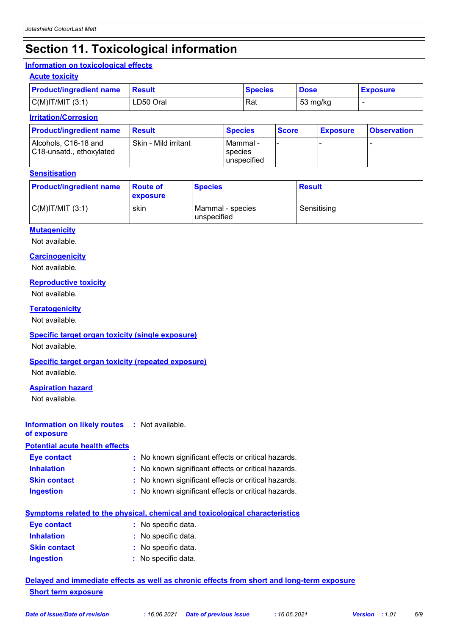### **Section 11. Toxicological information**

#### **Information on toxicological effects**

# **Acute toxicity** C(M)IT/MIT (3:1) LD50 Oral Rat 53 mg/kg - **Product/ingredient name Result Species Dose Exposure**

#### **Irritation/Corrosion**

| <b>Product/ingredient name</b>                   | Result               | <b>Species</b>                      | <b>Score</b> | <b>Exposure</b> | <b>Observation</b> |
|--------------------------------------------------|----------------------|-------------------------------------|--------------|-----------------|--------------------|
| Alcohols, C16-18 and<br>C18-unsatd., ethoxylated | Skin - Mild irritant | IMammal -<br>species<br>unspecified |              |                 |                    |

#### **Sensitisation**

| <b>Product/ingredient name</b> | <b>Route of</b><br>exposure | <b>Species</b>                    | <b>Result</b> |
|--------------------------------|-----------------------------|-----------------------------------|---------------|
| C(M) T/MIT (3:1)               | skin                        | Mammal - species  <br>unspecified | Sensitising   |

#### **Mutagenicity**

Not available.

#### **Carcinogenicity**

Not available.

#### **Reproductive toxicity**

Not available.

#### **Teratogenicity**

Not available.

#### **Specific target organ toxicity (single exposure)**

Not available.

#### **Specific target organ toxicity (repeated exposure)**

Not available.

#### **Aspiration hazard**

Not available.

#### **Information on likely routes :** Not available.

**of exposure Potential acute health effects**

| <b>Eye contact</b>  | : No known significant effects or critical hazards. |
|---------------------|-----------------------------------------------------|
| <b>Inhalation</b>   | : No known significant effects or critical hazards. |
| <b>Skin contact</b> | : No known significant effects or critical hazards. |
| <b>Ingestion</b>    | : No known significant effects or critical hazards. |

### **Symptoms related to the physical, chemical and toxicological characteristics**

| <b>Eye contact</b>  | : No specific data. |
|---------------------|---------------------|
| <b>Inhalation</b>   | : No specific data. |
| <b>Skin contact</b> | : No specific data. |
| <b>Ingestion</b>    | : No specific data. |

#### **Delayed and immediate effects as well as chronic effects from short and long-term exposure Short term exposure**

*Date of issue/Date of revision* **:** *16.06.2021 Date of previous issue : 16.06.2021 Version : 1.01 6/9*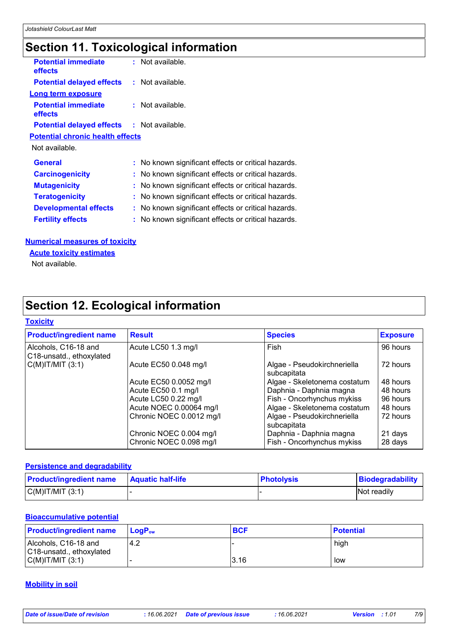### **Section 11. Toxicological information**

| <b>Potential immediate</b><br>effects             | : Not available.                                    |  |
|---------------------------------------------------|-----------------------------------------------------|--|
| <b>Potential delayed effects : Not available.</b> |                                                     |  |
| <b>Long term exposure</b>                         |                                                     |  |
| <b>Potential immediate</b><br>effects             | : Not available.                                    |  |
| <b>Potential delayed effects : Not available.</b> |                                                     |  |
| <b>Potential chronic health effects</b>           |                                                     |  |
| Not available.                                    |                                                     |  |
| <b>General</b>                                    | : No known significant effects or critical hazards. |  |
| <b>Carcinogenicity</b>                            | : No known significant effects or critical hazards. |  |
| <b>Mutagenicity</b>                               | : No known significant effects or critical hazards. |  |
| <b>Teratogenicity</b>                             | : No known significant effects or critical hazards. |  |
| <b>Developmental effects</b>                      | : No known significant effects or critical hazards. |  |
| <b>Fertility effects</b>                          | : No known significant effects or critical hazards. |  |
|                                                   |                                                     |  |

#### **Numerical measures of toxicity**

**Acute toxicity estimates**

Not available.

### **Section 12. Ecological information**

#### **Toxicity**

| <b>Product/ingredient name</b>                   | <b>Result</b>            | <b>Species</b>                             | <b>Exposure</b> |
|--------------------------------------------------|--------------------------|--------------------------------------------|-----------------|
| Alcohols, C16-18 and<br>C18-unsatd., ethoxylated | Acute LC50 1.3 mg/l      | Fish                                       | 96 hours        |
| $C(M)$ IT/MIT $(3:1)$                            | Acute EC50 0.048 mg/l    | Algae - Pseudokirchneriella<br>subcapitata | 72 hours        |
|                                                  | Acute EC50 0.0052 mg/l   | Algae - Skeletonema costatum               | 48 hours        |
|                                                  | Acute EC50 0.1 mg/l      | Daphnia - Daphnia magna                    | 48 hours        |
|                                                  | Acute LC50 0.22 mg/l     | Fish - Oncorhynchus mykiss                 | 96 hours        |
|                                                  | Acute NOEC 0.00064 mg/l  | Algae - Skeletonema costatum               | 48 hours        |
|                                                  | Chronic NOEC 0.0012 mg/l | Algae - Pseudokirchneriella<br>subcapitata | 72 hours        |
|                                                  | Chronic NOEC 0.004 mg/l  | Daphnia - Daphnia magna                    | 21 days         |
|                                                  | Chronic NOEC 0.098 mg/l  | Fish - Oncorhynchus mykiss                 | 28 days         |

#### **Persistence and degradability**

| <b>Product/ingredient name</b> | <b>Aquatic half-life</b> | <b>Photolysis</b> | Biodegradability |
|--------------------------------|--------------------------|-------------------|------------------|
| $C(M)$ IT/MIT $(3:1)$          |                          |                   | Not readily      |

#### **Bioaccumulative potential**

| <b>Product/ingredient name</b>                   | <b>LogP</b> <sub>ow</sub> | <b>BCF</b> | <b>Potential</b> |
|--------------------------------------------------|---------------------------|------------|------------------|
| Alcohols, C16-18 and<br>C18-unsatd., ethoxylated | 4.2                       |            | high             |
| C(M) T/MIT (3:1)                                 |                           | 3.16       | low              |

#### **Mobility in soil**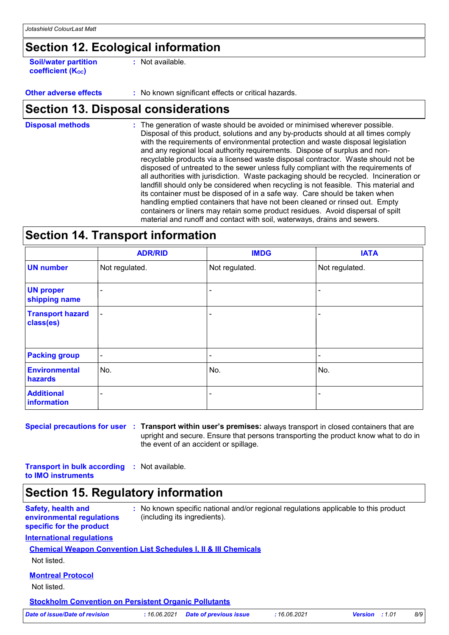### **Section 12. Ecological information**

**Soil/water partition coefficient (K**<sub>oc</sub>)

**:** Not available.

**Other adverse effects** : No known significant effects or critical hazards.

### **Section 13. Disposal considerations**

The generation of waste should be avoided or minimised wherever possible. Disposal of this product, solutions and any by-products should at all times comply with the requirements of environmental protection and waste disposal legislation and any regional local authority requirements. Dispose of surplus and nonrecyclable products via a licensed waste disposal contractor. Waste should not be disposed of untreated to the sewer unless fully compliant with the requirements of all authorities with jurisdiction. Waste packaging should be recycled. Incineration or landfill should only be considered when recycling is not feasible. This material and its container must be disposed of in a safe way. Care should be taken when handling emptied containers that have not been cleaned or rinsed out. Empty containers or liners may retain some product residues. Avoid dispersal of spilt material and runoff and contact with soil, waterways, drains and sewers. **Disposal methods :**

### **Section 14. Transport information**

|                                      | <b>ADR/RID</b> | <b>IMDG</b>    | <b>IATA</b>    |
|--------------------------------------|----------------|----------------|----------------|
| <b>UN number</b>                     | Not regulated. | Not regulated. | Not regulated. |
| <b>UN proper</b><br>shipping name    | ٠              |                |                |
| <b>Transport hazard</b><br>class(es) | $\blacksquare$ |                |                |
| <b>Packing group</b>                 | $\blacksquare$ | $\blacksquare$ | ۰              |
| <b>Environmental</b><br>hazards      | No.            | No.            | No.            |
| <b>Additional</b><br>information     | ۰              |                |                |

**Special precautions for user Transport within user's premises:** always transport in closed containers that are **:** upright and secure. Ensure that persons transporting the product know what to do in the event of an accident or spillage.

**Transport in bulk according :** Not available. **to IMO instruments**

### **Section 15. Regulatory information**

**Safety, health and environmental regulations specific for the product :** No known specific national and/or regional regulations applicable to this product (including its ingredients).

#### **International regulations**

#### **Chemical Weapon Convention List Schedules I, II & III Chemicals**

Not listed.

#### **Montreal Protocol**

Not listed.

**Stockholm Convention on Persistent Organic Pollutants**